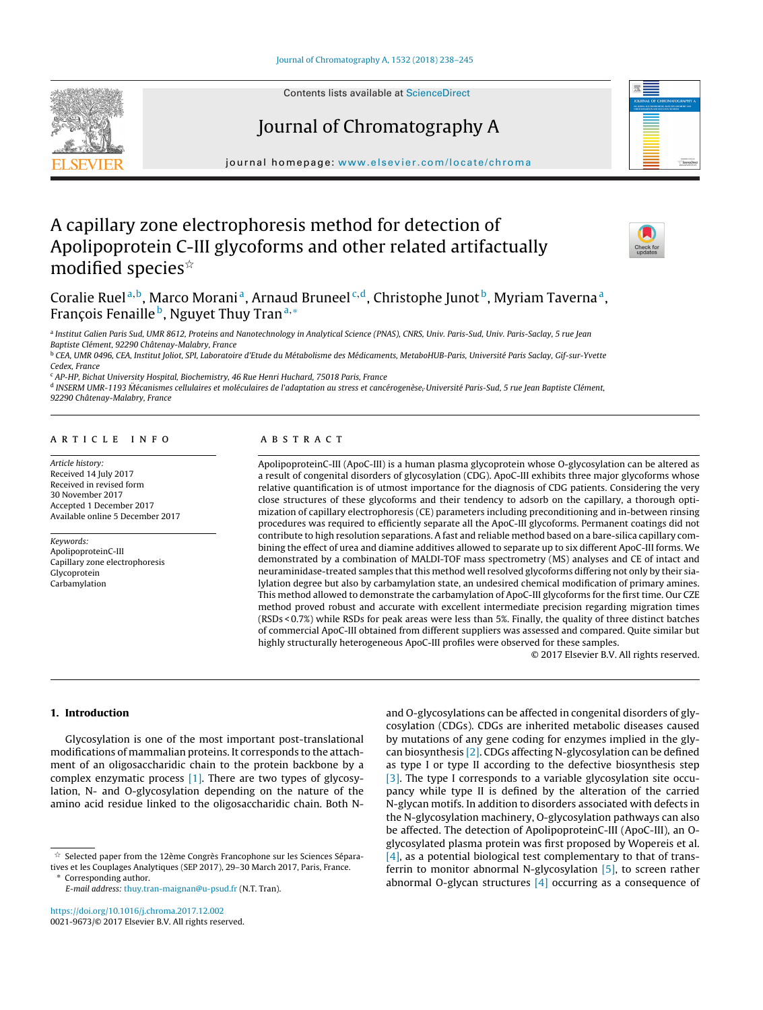Contents lists available at [ScienceDirect](http://www.sciencedirect.com/science/journal/00219673)

Journal of Chromatography A



iournal homepage: [www.elsevier.com/locate/chroma](http://www.elsevier.com/locate/chroma)

# A capillary zone electrophoresis method for detection of Apolipoprotein C-III glycoforms and other related artifactually modified species ${}^{\scriptscriptstyle \star}$



Coralie Ruel<sup>a,b</sup>, Marco Morani<sup>a</sup>, Arnaud Bruneel<sup>c,d</sup>, Christophe Junot<sup>b</sup>, Myriam Taverna<sup>a</sup>, François Fenaille <sup>b</sup>, Nguyet Thuy Tran<sup>a,\*</sup>

a Institut Galien Paris Sud, UMR 8612, Proteins and Nanotechnology in Analytical Science (PNAS), CNRS, Univ. Paris-Sud, Univ. Paris-Saclay, 5 rue Jean Baptiste Clément, 92290 Châtenay-Malabry, France

<sup>b</sup> CEA, UMR 0496, CEA, Institut Joliot, SPI, Laboratoire d'Etude du Métabolisme des Médicaments, MetaboHUB-Paris, Université Paris Saclay, Gif-sur-Yvette Cedex, France

<sup>c</sup> AP-HP, Bichat University Hospital, Biochemistry, 46 Rue Henri Huchard, 75018 Paris, France

<sup>d</sup> INSERM UMR-1193 Mécanismes cellulaires et moléculaires de l'adaptation au stress et cancérogenèse, Université Paris-Sud, 5 rue Jean Baptiste Clément, 92290 Châtenay-Malabry, France

# a r t i c l e i n f o

Article history: Received 14 July 2017 Received in revised form 30 November 2017 Accepted 1 December 2017 Available online 5 December 2017

#### Keywords:

ApolipoproteinC-III Capillary zone electrophoresis Glycoprotein Carbamylation

# A B S T R A C T

ApolipoproteinC-III (ApoC-III) is a human plasma glycoprotein whose O-glycosylation can be altered as a result of congenital disorders of glycosylation (CDG). ApoC-III exhibits three major glycoforms whose relative quantification is of utmost importance for the diagnosis of CDG patients. Considering the very close structures of these glycoforms and their tendency to adsorb on the capillary, a thorough optimization of capillary electrophoresis (CE) parameters including preconditioning and in-between rinsing procedures was required to efficiently separate all the ApoC-III glycoforms. Permanent coatings did not contribute to high resolution separations. A fast and reliable method based on a bare-silica capillary combining the effect of urea and diamine additives allowed to separate up to six different ApoC-III forms. We demonstrated by a combination of MALDI-TOF mass spectrometry (MS) analyses and CE of intact and neuraminidase-treated samples that this method well resolved glycoforms differing not only by their sialylation degree but also by carbamylation state, an undesired chemical modification of primary amines. This method allowed to demonstrate the carbamylation of ApoC-III glycoforms for the first time. Our CZE method proved robust and accurate with excellent intermediate precision regarding migration times (RSDs < 0.7%) while RSDs for peak areas were less than 5%. Finally, the quality of three distinct batches of commercial ApoC-III obtained from different suppliers was assessed and compared. Quite similar but highly structurally heterogeneous ApoC-III profiles were observed for these samples.

© 2017 Elsevier B.V. All rights reserved.

# **1. Introduction**

Glycosylation is one of the most important post-translational modifications of mammalian proteins. It corresponds to the attachment of an oligosaccharidic chain to the protein backbone by a complex enzymatic process [\[1\].](#page-6-0) There are two types of glycosylation, N- and O-glycosylation depending on the nature of the amino acid residue linked to the oligosaccharidic chain. Both N-

and O-glycosylations can be affected in congenital disorders of glycosylation (CDGs). CDGs are inherited metabolic diseases caused by mutations of any gene coding for enzymes implied in the glycan biosynthesis [\[2\].](#page-6-0) CDGs affecting N-glycosylation can be defined as type I or type II according to the defective biosynthesis step [\[3\].](#page-6-0) The type I corresponds to a variable glycosylation site occupancy while type II is defined by the alteration of the carried N-glycan motifs. In addition to disorders associated with defects in the N-glycosylation machinery, O-glycosylation pathways can also be affected. The detection of ApolipoproteinC-III (ApoC-III), an Oglycosylated plasma protein was first proposed by Wopereis et al. [\[4\],](#page-6-0) as a potential biological test complementary to that of transferrin to monitor abnormal N-glycosylation [\[5\],](#page-6-0) to screen rather abnormal O-glycan structures  $[4]$  occurring as a consequence of

 $\overrightarrow{x}$  Selected paper from the 12ème Congrès Francophone sur les Sciences Séparatives et les Couplages Analytiques (SEP 2017), 29–30 March 2017, Paris, France. ∗ Corresponding author.

E-mail address: [thuy.tran-maignan@u-psud.fr](mailto:thuy.tran-maignan@u-psud.fr) (N.T. Tran).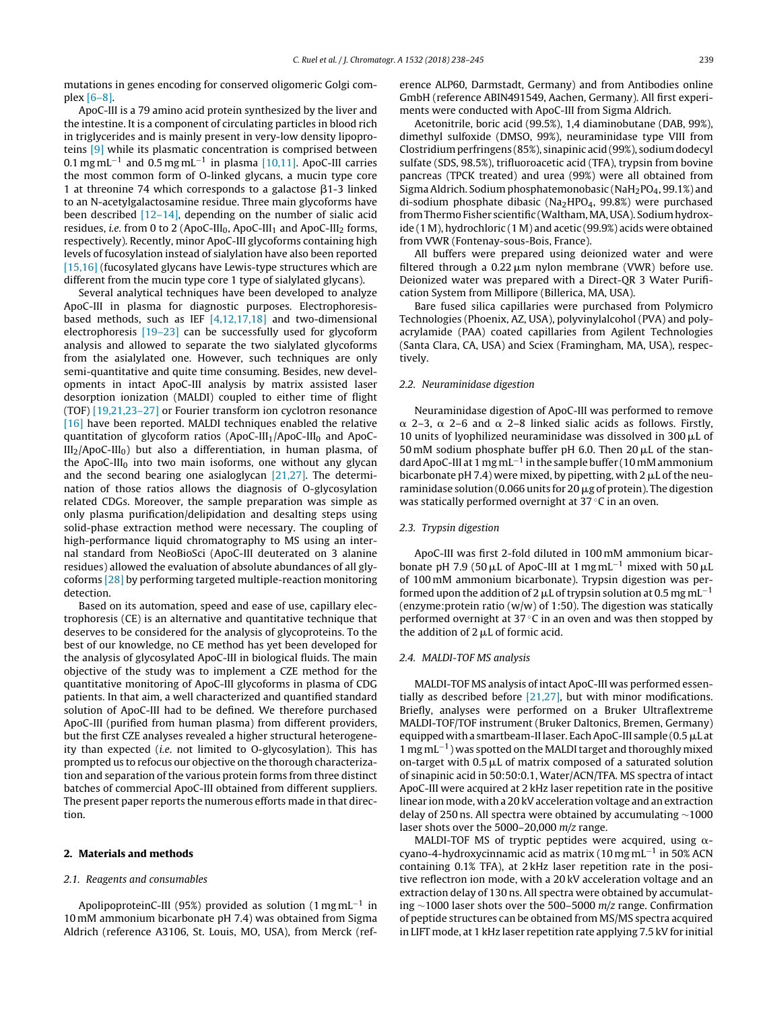mutations in genes encoding for conserved oligomeric Golgi complex [\[6–8\].](#page-6-0)

ApoC-III is a 79 amino acid protein synthesized by the liver and the intestine. It is a component of circulating particles in blood rich in triglycerides and is mainly present in very-low density lipoproteins [\[9\]](#page-6-0) while its plasmatic concentration is comprised between 0.1 mg mL<sup>-1</sup> and 0.5 mg mL<sup>-1</sup> in plasma [\[10,11\].](#page-6-0) ApoC-III carries the most common form of O-linked glycans, a mucin type core 1 at threonine 74 which corresponds to a galactose  $\beta$ 1-3 linked to an N-acetylgalactosamine residue. Three main glycoforms have been described [\[12–14\],](#page-6-0) depending on the number of sialic acid residues, i.e. from 0 to 2 (ApoC-III<sub>0</sub>, ApoC-III<sub>1</sub> and ApoC-III<sub>2</sub> forms, respectively). Recently, minor ApoC-III glycoforms containing high levels of fucosylation instead of sialylation have also been reported [\[15,16\]](#page-6-0) (fucosylated glycans have Lewis-type structures which are different from the mucin type core 1 type of sialylated glycans).

Several analytical techniques have been developed to analyze ApoC-III in plasma for diagnostic purposes. Electrophoresisbased methods, such as IEF  $[4,12,17,18]$  and two-dimensional electrophoresis [\[19–23\]](#page-6-0) can be successfully used for glycoform analysis and allowed to separate the two sialylated glycoforms from the asialylated one. However, such techniques are only semi-quantitative and quite time consuming. Besides, new developments in intact ApoC-III analysis by matrix assisted laser desorption ionization (MALDI) coupled to either time of flight (TOF) [\[19,21,23–27\]](#page-6-0) or Fourier transform ion cyclotron resonance [\[16\]](#page-6-0) have been reported. MALDI techniques enabled the relative quantitation of glycoform ratios (ApoC-III<sub>1</sub>/ApoC-III<sub>0</sub> and ApoC- $III<sub>2</sub>/ApoC-III<sub>0</sub>$ ) but also a differentiation, in human plasma, of the ApoC-III<sub>0</sub> into two main isoforms, one without any glycan and the second bearing one asialoglycan [\[21,27\].](#page-6-0) The determination of those ratios allows the diagnosis of O-glycosylation related CDGs. Moreover, the sample preparation was simple as only plasma purification/delipidation and desalting steps using solid-phase extraction method were necessary. The coupling of high-performance liquid chromatography to MS using an internal standard from NeoBioSci (ApoC-III deuterated on 3 alanine residues) allowed the evaluation of absolute abundances of all glycoforms [\[28\]](#page-7-0) by performing targeted multiple-reaction monitoring detection.

Based on its automation, speed and ease of use, capillary electrophoresis (CE) is an alternative and quantitative technique that deserves to be considered for the analysis of glycoproteins. To the best of our knowledge, no CE method has yet been developed for the analysis of glycosylated ApoC-III in biological fluids. The main objective of the study was to implement a CZE method for the quantitative monitoring of ApoC-III glycoforms in plasma of CDG patients. In that aim, a well characterized and quantified standard solution of ApoC-III had to be defined. We therefore purchased ApoC-III (purified from human plasma) from different providers, but the first CZE analyses revealed a higher structural heterogeneity than expected (i.e. not limited to O-glycosylation). This has prompted us to refocus our objective on the thorough characterization and separation of the various protein forms from three distinct batches of commercial ApoC-III obtained from different suppliers. The present paper reports the numerous efforts made in that direction.

# **2. Materials and methods**

# 2.1. Reagents and consumables

ApolipoproteinC-III (95%) provided as solution (1 mgmL<sup>-1</sup> in 10 mM ammonium bicarbonate pH 7.4) was obtained from Sigma Aldrich (reference A3106, St. Louis, MO, USA), from Merck (reference ALP60, Darmstadt, Germany) and from Antibodies online GmbH (reference ABIN491549, Aachen, Germany). All first experiments were conducted with ApoC-III from Sigma Aldrich.

Acetonitrile, boric acid (99.5%), 1,4 diaminobutane (DAB, 99%), dimethyl sulfoxide (DMSO, 99%), neuraminidase type VIII from Clostridiumperfringens (85%), sinapinic acid(99%), sodiumdodecyl sulfate (SDS, 98.5%), trifluoroacetic acid (TFA), trypsin from bovine pancreas (TPCK treated) and urea (99%) were all obtained from Sigma Aldrich. Sodium phosphatemonobasic (NaH<sub>2</sub>PO<sub>4</sub>, 99.1%) and di-sodium phosphate dibasic (Na<sub>2</sub>HPO<sub>4</sub>, 99.8%) were purchased from Thermo Fisher scientific (Waltham, MA, USA). Sodium hydroxide (1 M), hydrochloric (1 M) and acetic (99.9%) acids were obtained from VWR (Fontenay-sous-Bois, France).

All buffers were prepared using deionized water and were filtered through a  $0.22 \mu m$  nylon membrane (VWR) before use. Deionized water was prepared with a Direct-QR 3 Water Purification System from Millipore (Billerica, MA, USA).

Bare fused silica capillaries were purchased from Polymicro Technologies (Phoenix, AZ, USA), polyvinylalcohol (PVA) and polyacrylamide (PAA) coated capillaries from Agilent Technologies (Santa Clara, CA, USA) and Sciex (Framingham, MA, USA), respectively.

#### 2.2. Neuraminidase digestion

Neuraminidase digestion of ApoC-III was performed to remove  $\alpha$  2–3,  $\alpha$  2–6 and  $\alpha$  2–8 linked sialic acids as follows. Firstly, 10 units of lyophilized neuraminidase was dissolved in 300  $\mu$ L of 50 mM sodium phosphate buffer pH 6.0. Then  $20 \mu L$  of the standard ApoC-III at 1 mg mL<sup>-1</sup> in the sample buffer (10 mM ammonium bicarbonate pH 7.4) were mixed, by pipetting, with 2  $\mu$ L of the neuraminidase solution (0.066 units for 20  $\mu$ g of protein). The digestion was statically performed overnight at 37 ◦C in an oven.

# 2.3. Trypsin digestion

ApoC-III was first 2-fold diluted in 100 mM ammonium bicarbonate pH 7.9 (50  $\mu$ L of ApoC-III at 1 mg mL<sup>-1</sup> mixed with 50  $\mu$ L of 100 mM ammonium bicarbonate). Trypsin digestion was performed upon the addition of 2  $\mu$ L of trypsin solution at 0.5 mg mL<sup>-1</sup> (enzyme:protein ratio (w/w) of 1:50). The digestion was statically performed overnight at  $37 \degree C$  in an oven and was then stopped by the addition of  $2 \mu L$  of formic acid.

# 2.4. MALDI-TOF MS analysis

MALDI-TOF MS analysis of intact ApoC-III was performed essentially as described before [\[21,27\],](#page-6-0) but with minor modifications. Briefly, analyses were performed on a Bruker Ultraflextreme MALDI-TOF/TOF instrument (Bruker Daltonics, Bremen, Germany) equipped with a smartbeam-II laser. Each ApoC-III sample (0.5 µL at 1 mg mL<sup>−1</sup>) was spotted on the MALDI target and thoroughly mixed on-target with  $0.5 \mu L$  of matrix composed of a saturated solution of sinapinic acid in 50:50:0.1, Water/ACN/TFA. MS spectra of intact ApoC-III were acquired at 2 kHz laser repetition rate in the positive linear ion mode, with a 20 kV acceleration voltage and an extraction delay of 250 ns. All spectra were obtained by accumulating ∼1000 laser shots over the 5000–20,000 m/z range.

MALDI-TOF MS of tryptic peptides were acquired, using  $\alpha$ cyano-4-hydroxycinnamic acid as matrix (10 mg mL<sup>-1</sup> in 50% ACN containing 0.1% TFA), at 2 kHz laser repetition rate in the positive reflectron ion mode, with a 20 kV acceleration voltage and an extraction delay of 130 ns. All spectra were obtained by accumulating ∼1000 laser shots over the 500–5000 m/z range. Confirmation of peptide structures can be obtained from MS/MS spectra acquired in LIFT mode, at 1 kHz laser repetition rate applying 7.5 kV for initial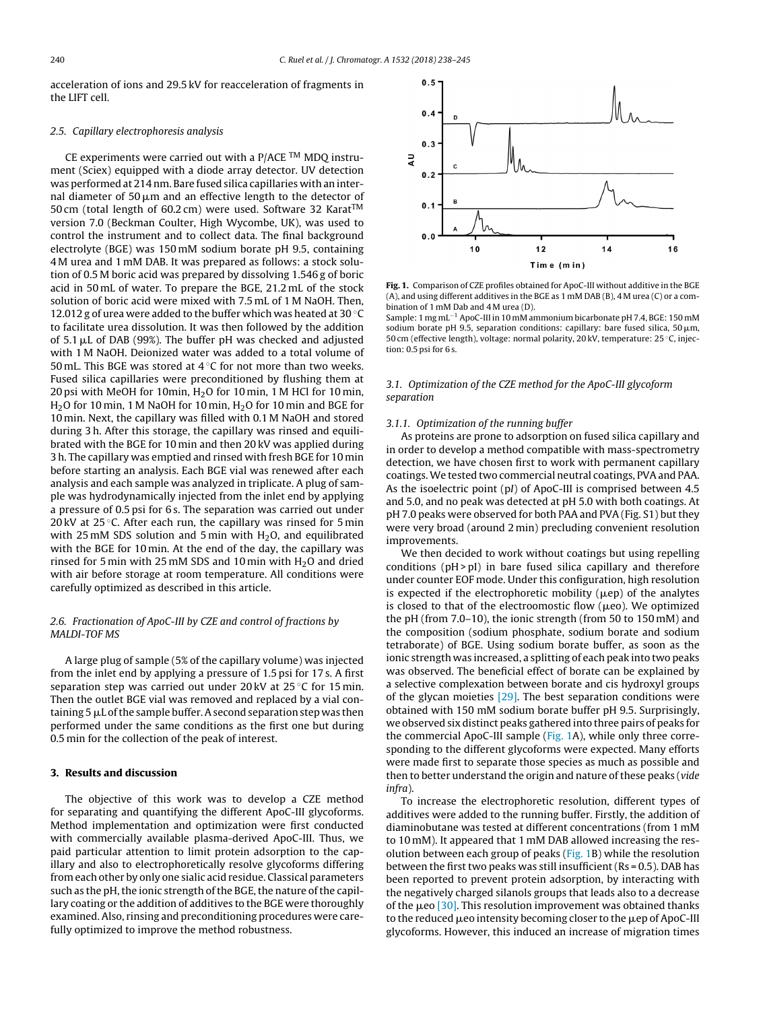<span id="page-2-0"></span>acceleration of ions and 29.5 kV for reacceleration of fragments in the LIFT cell.

#### 2.5. Capillary electrophoresis analysis

CE experiments were carried out with a  $P/ACE$ <sup>TM</sup> MDQ instrument (Sciex) equipped with a diode array detector. UV detection was performed at 214 nm. Bare fused silica capillaries with an internal diameter of 50  $\mu$ m and an effective length to the detector of 50 cm (total length of 60.2 cm) were used. Software 32 Karat<sup>TM</sup> version 7.0 (Beckman Coulter, High Wycombe, UK), was used to control the instrument and to collect data. The final background electrolyte (BGE) was 150 mM sodium borate pH 9.5, containing 4 M urea and 1 mM DAB. It was prepared as follows: a stock solution of 0.5 M boric acid was prepared by dissolving 1.546 g of boric acid in 50 mL of water. To prepare the BGE, 21.2 mL of the stock solution of boric acid were mixed with 7.5 mL of 1 M NaOH. Then, 12.012 g of urea were added to the buffer which was heated at 30  $\rm{^{\circ}C}$ to facilitate urea dissolution. It was then followed by the addition of  $5.1 \mu L$  of DAB (99%). The buffer pH was checked and adjusted with 1 M NaOH. Deionized water was added to a total volume of 50 mL. This BGE was stored at  $4^{\circ}$ C for not more than two weeks. Fused silica capillaries were preconditioned by flushing them at 20 psi with MeOH for 10min,  $H<sub>2</sub>O$  for 10 min, 1 M HCl for 10 min,  $H<sub>2</sub>$ O for 10 min, 1 M NaOH for 10 min,  $H<sub>2</sub>$ O for 10 min and BGE for 10 min. Next, the capillary was filled with 0.1 M NaOH and stored during 3 h. After this storage, the capillary was rinsed and equilibrated with the BGE for 10 min and then 20 kV was applied during 3 h. The capillary was emptied and rinsed with fresh BGE for 10 min before starting an analysis. Each BGE vial was renewed after each analysis and each sample was analyzed in triplicate. A plug of sample was hydrodynamically injected from the inlet end by applying a pressure of 0.5 psi for 6 s. The separation was carried out under 20 kV at  $25^{\circ}$ C. After each run, the capillary was rinsed for 5 min with 25 mM SDS solution and 5 min with  $H_2O$ , and equilibrated with the BGE for 10 min. At the end of the day, the capillary was rinsed for 5 min with 25 mM SDS and 10 min with  $H<sub>2</sub>O$  and dried with air before storage at room temperature. All conditions were carefully optimized as described in this article.

# 2.6. Fractionation of ApoC-III by CZE and control of fractions by MALDI-TOF MS

A large plug of sample (5% of the capillary volume) was injected from the inlet end by applying a pressure of 1.5 psi for 17 s. A first separation step was carried out under 20 kV at 25 °C for 15 min. Then the outlet BGE vial was removed and replaced by a vial containing  $5 \mu L$  of the sample buffer. A second separation step was then performed under the same conditions as the first one but during 0.5 min for the collection of the peak of interest.

# **3. Results and discussion**

The objective of this work was to develop a CZE method for separating and quantifying the different ApoC-III glycoforms. Method implementation and optimization were first conducted with commercially available plasma-derived ApoC-III. Thus, we paid particular attention to limit protein adsorption to the capillary and also to electrophoretically resolve glycoforms differing from each other by only one sialic acid residue. Classical parameters such as the pH, the ionic strength of the BGE, the nature of the capillary coating or the addition of additives to the BGE were thoroughly examined. Also, rinsing and preconditioning procedures were carefully optimized to improve the method robustness.



**Fig. 1.** Comparison of CZE profiles obtained for ApoC-III without additive in the BGE (A), and using different additives in the BGE as 1 mM DAB (B), 4 M urea (C) or a combination of 1 mM Dab and 4 M urea (D).

Sample: 1 mg mL−<sup>1</sup> ApoC-III in 10 mM ammonium bicarbonate pH 7.4, BGE: 150 mM sodium borate pH 9.5, separation conditions: capillary: bare fused silica, 50  $\mu$ m, 50 cm (effective length), voltage: normal polarity, 20 kV, temperature: 25 ◦C, injection: 0.5 psi for 6 s.

# 3.1. Optimization of the CZE method for the ApoC-III glycoform separation

## 3.1.1. Optimization of the running buffer

As proteins are prone to adsorption on fused silica capillary and in order to develop a method compatible with mass-spectrometry detection, we have chosen first to work with permanent capillary coatings.We tested two commercial neutral coatings, PVA and PAA. As the isoelectric point (pI) of ApoC-III is comprised between 4.5 and 5.0, and no peak was detected at pH 5.0 with both coatings. At pH 7.0 peaks were observed for both PAA and PVA (Fig. S1) but they were very broad (around 2 min) precluding convenient resolution improvements.

We then decided to work without coatings but using repelling conditions  $(pH > pI)$  in bare fused silica capillary and therefore under counter EOF mode. Under this configuration, high resolution is expected if the electrophoretic mobility ( $\mu$ ep) of the analytes is closed to that of the electroomostic flow ( $\mu$ eo). We optimized the pH (from 7.0–10), the ionic strength (from 50 to 150 mM) and the composition (sodium phosphate, sodium borate and sodium tetraborate) of BGE. Using sodium borate buffer, as soon as the ionic strength was increased, a splitting of each peak into two peaks was observed. The beneficial effect of borate can be explained by a selective complexation between borate and cis hydroxyl groups of the glycan moieties  $[29]$ . The best separation conditions were obtained with 150 mM sodium borate buffer pH 9.5. Surprisingly, we observed six distinct peaks gathered into three pairs of peaks for the commercial ApoC-III sample (Fig. 1A), while only three corresponding to the different glycoforms were expected. Many efforts were made first to separate those species as much as possible and then to better understand the origin and nature of these peaks (vide infra).

To increase the electrophoretic resolution, different types of additives were added to the running buffer. Firstly, the addition of diaminobutane was tested at different concentrations (from 1 mM to 10 mM). It appeared that 1 mM DAB allowed increasing the resolution between each group of peaks (Fig. 1B) while the resolution between the first two peaks was still insufficient ( $Rs = 0.5$ ). DAB has been reported to prevent protein adsorption, by interacting with the negatively charged silanols groups that leads also to a decrease of the  $\mu$ eo [\[30\].](#page-7-0) This resolution improvement was obtained thanks to the reduced  $\mu$ eo intensity becoming closer to the  $\mu$ ep of ApoC-III glycoforms. However, this induced an increase of migration times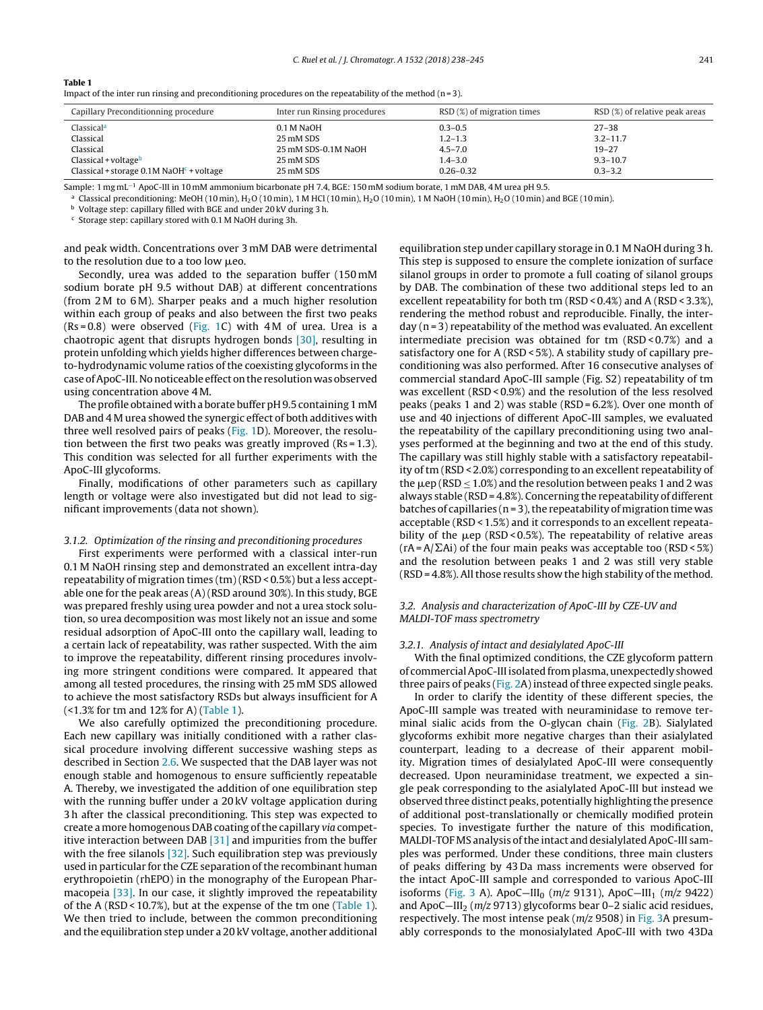#### **Table 1**

Impact of the inter run rinsing and preconditioning procedures on the repeatability of the method ( $n = 3$ ).

| Capillary Preconditionning procedure          | Inter run Rinsing procedures | RSD (%) of migration times | RSD (%) of relative peak areas |
|-----------------------------------------------|------------------------------|----------------------------|--------------------------------|
| Classical <sup>a</sup>                        | 0.1 M NaOH                   | $0.3 - 0.5$                | $27 - 38$                      |
| Classical                                     | 25 mM SDS                    | $1.2 - 1.3$                | $3.2 - 11.7$                   |
| Classical                                     | 25 mM SDS-0.1M NaOH          | $4.5 - 7.0$                | $19 - 27$                      |
| $Classical + voltageb$                        | 25 mM SDS                    | $1.4 - 3.0$                | $9.3 - 10.7$                   |
| Classical + storage $0.1M$ NaOH $c$ + voltage | 25 mM SDS                    | $0.26 - 0.32$              | $0.3 - 3.2$                    |

Sample: 1 mg mL−<sup>1</sup> ApoC-III in 10 mM ammonium bicarbonate pH 7.4, BGE: 150 mM sodium borate, 1 mM DAB, 4 M urea pH 9.5.

<sup>a</sup> Classical preconditioning: MeOH (10 min), H<sub>2</sub>O (10 min), 1 M HCl (10 min), H<sub>2</sub>O (10 min), 1 M NaOH (10 min), H<sub>2</sub>O (10 min) and BGE (10 min).

<sup>b</sup> Voltage step: capillary filled with BGE and under 20 kV during 3 h.

<sup>c</sup> Storage step: capillary stored with 0.1 M NaOH during 3h.

and peak width. Concentrations over 3 mM DAB were detrimental to the resolution due to a too low  $\mu$ eo.

Secondly, urea was added to the separation buffer (150 mM sodium borate pH 9.5 without DAB) at different concentrations (from 2 M to 6 M). Sharper peaks and a much higher resolution within each group of peaks and also between the first two peaks  $(Rs = 0.8)$  were observed ([Fig.](#page-2-0) 1C) with 4M of urea. Urea is a chaotropic agent that disrupts hydrogen bonds [\[30\],](#page-7-0) resulting in protein unfolding which yields higher differences between chargeto-hydrodynamic volume ratios of the coexisting glycoforms in the case ofApoC-III.Nonoticeable effect onthe resolution was observed using concentration above 4 M.

The profile obtained with a borate buffer pH9.5 containing 1 mM DAB and 4 M urea showed the synergic effect of both additives with three well resolved pairs of peaks [\(Fig.](#page-2-0) 1D). Moreover, the resolution between the first two peaks was greatly improved ( $Rs = 1.3$ ). This condition was selected for all further experiments with the ApoC-III glycoforms.

Finally, modifications of other parameters such as capillary length or voltage were also investigated but did not lead to significant improvements (data not shown).

## 3.1.2. Optimization of the rinsing and preconditioning procedures

First experiments were performed with a classical inter-run 0.1 M NaOH rinsing step and demonstrated an excellent intra-day repeatability of migration times (tm) (RSD < 0.5%) but a less acceptable one for the peak areas (A) (RSD around 30%). In this study, BGE was prepared freshly using urea powder and not a urea stock solution, so urea decomposition was most likely not an issue and some residual adsorption of ApoC-III onto the capillary wall, leading to a certain lack of repeatability, was rather suspected. With the aim to improve the repeatability, different rinsing procedures involving more stringent conditions were compared. It appeared that among all tested procedures, the rinsing with 25 mM SDS allowed to achieve the most satisfactory RSDs but always insufficient for A (<1.3% for tm and 12% for A) (Table 1).

We also carefully optimized the preconditioning procedure. Each new capillary was initially conditioned with a rather classical procedure involving different successive washing steps as described in Section [2.6.](#page-2-0) We suspected that the DAB layer was not enough stable and homogenous to ensure sufficiently repeatable A. Thereby, we investigated the addition of one equilibration step with the running buffer under a 20 kV voltage application during 3 h after the classical preconditioning. This step was expected to create a more homogenous DAB coating of the capillary via competitive interaction between DAB  $[31]$  and impurities from the buffer with the free silanols  $[32]$ . Such equilibration step was previously used in particular for the CZE separation of the recombinant human erythropoietin (rhEPO) in the monography of the European Pharmacopeia [\[33\].](#page-7-0) In our case, it slightly improved the repeatability of the A (RSD < 10.7%), but at the expense of the tm one (Table 1). We then tried to include, between the common preconditioning and the equilibration step under a 20 kV voltage, another additional

equilibration step under capillary storage in 0.1 M NaOH during 3 h. This step is supposed to ensure the complete ionization of surface silanol groups in order to promote a full coating of silanol groups by DAB. The combination of these two additional steps led to an excellent repeatability for both tm (RSD < 0.4%) and A (RSD < 3.3%), rendering the method robust and reproducible. Finally, the inter $day (n=3)$  repeatability of the method was evaluated. An excellent intermediate precision was obtained for tm (RSD < 0.7%) and a satisfactory one for A (RSD < 5%). A stability study of capillary preconditioning was also performed. After 16 consecutive analyses of commercial standard ApoC-III sample (Fig. S2) repeatability of tm was excellent (RSD < 0.9%) and the resolution of the less resolved peaks (peaks 1 and 2) was stable (RSD = 6.2%). Over one month of use and 40 injections of different ApoC-III samples, we evaluated the repeatability of the capillary preconditioning using two analyses performed at the beginning and two at the end of this study. The capillary was still highly stable with a satisfactory repeatability of tm (RSD < 2.0%) corresponding to an excellent repeatability of the  $\mu$ ep (RSD  $\leq$  1.0%) and the resolution between peaks 1 and 2 was always stable (RSD = 4.8%). Concerning the repeatability of different batches of capillaries ( $n = 3$ ), the repeatability of migration time was acceptable (RSD < 1.5%) and it corresponds to an excellent repeatability of the  $\mu$ ep (RSD < 0.5%). The repeatability of relative areas  $(rA = A/\Sigma A i)$  of the four main peaks was acceptable too (RSD < 5%) and the resolution between peaks 1 and 2 was still very stable  $(RSD = 4.8\%)$ . All those results show the high stability of the method.

# 3.2. Analysis and characterization of ApoC-III by CZE-UV and MALDI-TOF mass spectrometry

#### 3.2.1. Analysis of intact and desialylated ApoC-III

With the final optimized conditions, the CZE glycoform pattern of commercial ApoC-III isolated from plasma, unexpectedly showed three pairs of peaks ([Fig.](#page-4-0) 2A) instead of three expected single peaks.

In order to clarify the identity of these different species, the ApoC-III sample was treated with neuraminidase to remove terminal sialic acids from the O-glycan chain [\(Fig.](#page-4-0) 2B). Sialylated glycoforms exhibit more negative charges than their asialylated counterpart, leading to a decrease of their apparent mobility. Migration times of desialylated ApoC-III were consequently decreased. Upon neuraminidase treatment, we expected a single peak corresponding to the asialylated ApoC-III but instead we observed three distinct peaks, potentially highlighting the presence of additional post-translationally or chemically modified protein species. To investigate further the nature of this modification, MALDI-TOF MS analysis ofthe intact and desialylated ApoC-III samples was performed. Under these conditions, three main clusters of peaks differing by 43 Da mass increments were observed for the intact ApoC-III sample and corresponded to various ApoC-III isoforms ([Fig.](#page-4-0) 3 A). ApoC-III<sub>0</sub> (m/z 9131), ApoC-III<sub>1</sub> (m/z 9422) and ApoC-III<sub>2</sub> ( $m/z$  9713) glycoforms bear 0-2 sialic acid residues, respectively. The most intense peak ( $m/z$  9508) in [Fig.](#page-4-0) 3A presumably corresponds to the monosialylated ApoC-III with two 43Da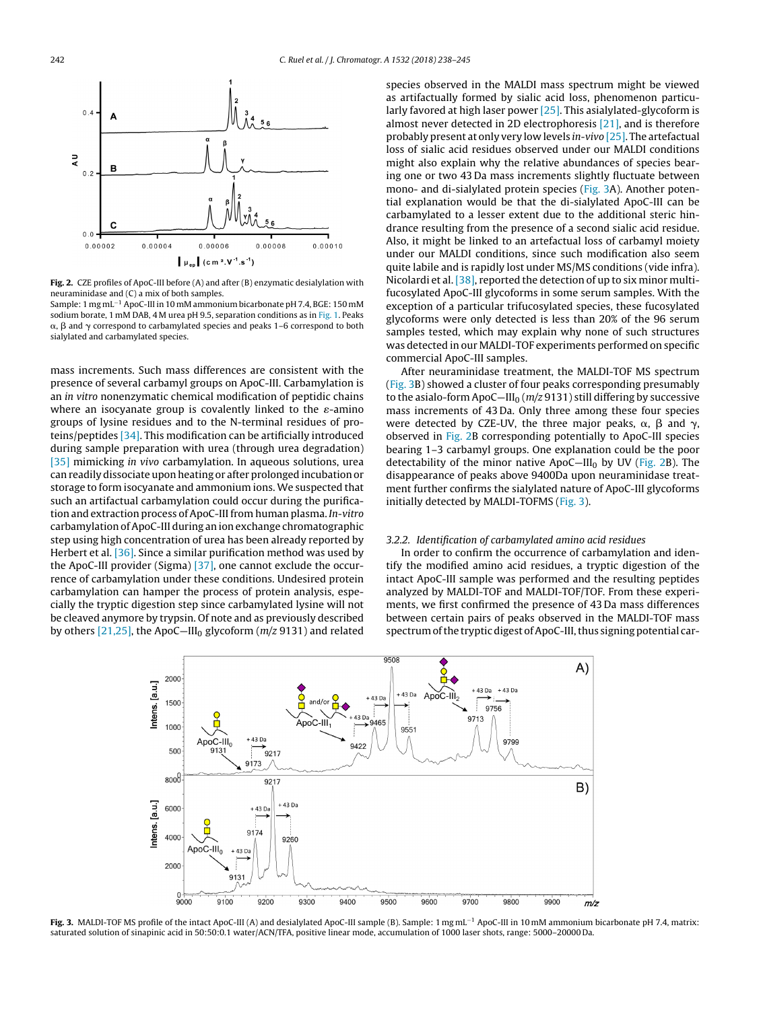<span id="page-4-0"></span>

**Fig. 2.** CZE profiles of ApoC-III before (A) and after (B) enzymatic desialylation with neuraminidase and (C) a mix of both samples. Sample: 1 mg mL−<sup>1</sup> ApoC-III in 10 mM ammonium bicarbonate pH 7.4, BGE: 150 mM

sodium borate, 1 mM DAB, 4 M urea pH 9.5, separation conditions as in [Fig.](#page-2-0) 1. Peaks  $\alpha$ ,  $\beta$  and  $\gamma$  correspond to carbamylated species and peaks 1–6 correspond to both sialylated and carbamylated species.

mass increments. Such mass differences are consistent with the presence of several carbamyl groups on ApoC-III. Carbamylation is an in vitro nonenzymatic chemical modification of peptidic chains where an isocyanate group is covalently linked to the  $\varepsilon$ -amino groups of lysine residues and to the N-terminal residues of proteins/peptides [\[34\].](#page-7-0) This modification can be artificially introduced during sample preparation with urea (through urea degradation) [\[35\]](#page-7-0) mimicking in vivo carbamylation. In aqueous solutions, urea can readily dissociate upon heating or after prolonged incubation or storage to form isocyanate and ammonium ions. We suspected that such an artifactual carbamylation could occur during the purification and extraction process of ApoC-III from human plasma. In-vitro carbamylation of ApoC-III during an ion exchange chromatographic step using high concentration of urea has been already reported by Herbert et al. [\[36\].](#page-7-0) Since a similar purification method was used by the ApoC-III provider (Sigma) [\[37\],](#page-7-0) one cannot exclude the occurrence of carbamylation under these conditions. Undesired protein carbamylation can hamper the process of protein analysis, especially the tryptic digestion step since carbamylated lysine will not be cleaved anymore by trypsin. Of note and as previously described by others  $[21,25]$ , the ApoC-III<sub>0</sub> glycoform  $(m/z 9131)$  and related

species observed in the MALDI mass spectrum might be viewed as artifactually formed by sialic acid loss, phenomenon particularly favored at high laser power [\[25\].](#page-7-0) This asialylated-glycoform is almost never detected in 2D electrophoresis [\[21\],](#page-6-0) and is therefore probably present at only very low levels in-vivo [\[25\].](#page-7-0) The artefactual loss of sialic acid residues observed under our MALDI conditions might also explain why the relative abundances of species bearing one or two 43 Da mass increments slightly fluctuate between mono- and di-sialylated protein species (Fig. 3A). Another potential explanation would be that the di-sialylated ApoC-III can be carbamylated to a lesser extent due to the additional steric hindrance resulting from the presence of a second sialic acid residue. Also, it might be linked to an artefactual loss of carbamyl moiety under our MALDI conditions, since such modification also seem quite labile and is rapidly lost under MS/MS conditions (vide infra). Nicolardi et al. [\[38\],](#page-7-0) reported the detection of up to six minor multifucosylated ApoC-III glycoforms in some serum samples. With the exception of a particular trifucosylated species, these fucosylated glycoforms were only detected is less than 20% of the 96 serum samples tested, which may explain why none of such structures was detected in our MALDI-TOF experiments performed on specific commercial ApoC-III samples.

After neuraminidase treatment, the MALDI-TOF MS spectrum (Fig. 3B) showed a cluster of four peaks corresponding presumably to the asialo-form ApoC-III<sub>0</sub> ( $m/z$  9131) still differing by successive mass increments of 43 Da. Only three among these four species were detected by CZE-UV, the three major peaks,  $\alpha$ ,  $\beta$  and  $\gamma$ , observed in Fig. 2B corresponding potentially to ApoC-III species bearing 1–3 carbamyl groups. One explanation could be the poor detectability of the minor native ApoC—III<sub>0</sub> by UV (Fig. 2B). The disappearance of peaks above 9400Da upon neuraminidase treatment further confirms the sialylated nature of ApoC-III glycoforms initially detected by MALDI-TOFMS (Fig. 3).

#### 3.2.2. Identification of carbamylated amino acid residues

In order to confirm the occurrence of carbamylation and identify the modified amino acid residues, a tryptic digestion of the intact ApoC-III sample was performed and the resulting peptides analyzed by MALDI-TOF and MALDI-TOF/TOF. From these experiments, we first confirmed the presence of 43 Da mass differences between certain pairs of peaks observed in the MALDI-TOF mass spectrum of the tryptic digest of ApoC-III, thus signing potential car-



**Fig. 3.** MALDI-TOF MS profile of the intact ApoC-III (A) and desialylated ApoC-III sample (B). Sample: 1 mg mL−<sup>1</sup> ApoC-III in 10 mM ammonium bicarbonate pH 7.4, matrix: saturated solution of sinapinic acid in 50:50:0.1 water/ACN/TFA, positive linear mode, accumulation of 1000 laser shots, range: 5000–20000 Da.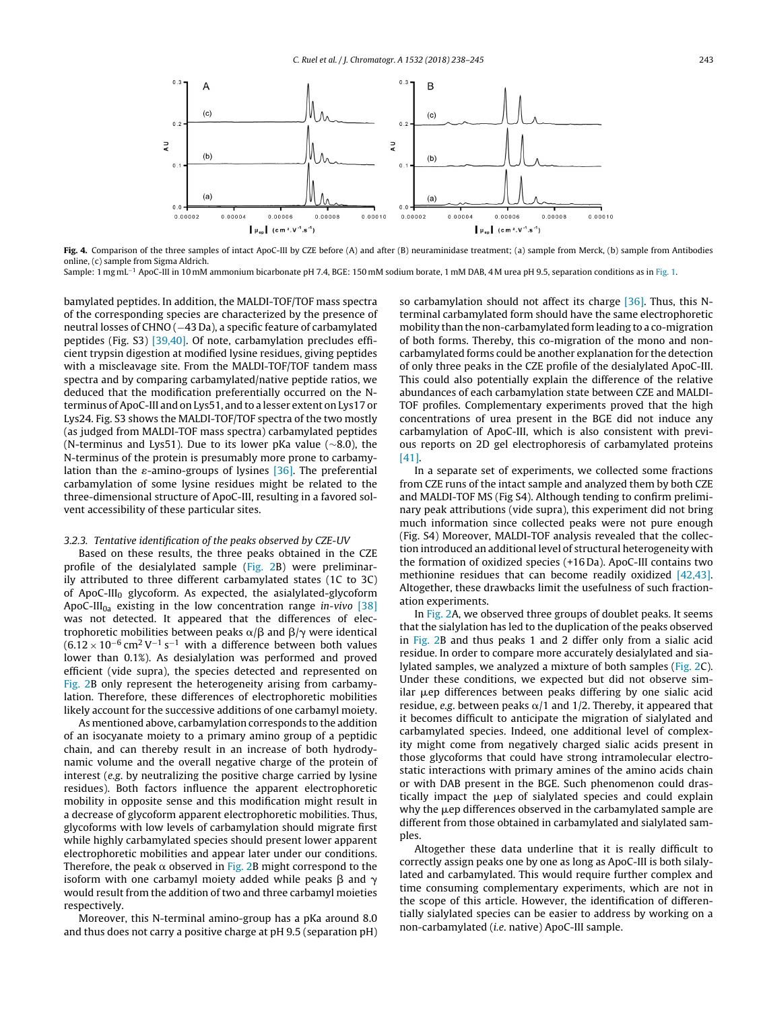<span id="page-5-0"></span>

**Fig. 4.** Comparison of the three samples of intact ApoC-III by CZE before (A) and after (B) neuraminidase treatment; (a) sample from Merck, (b) sample from Antibodies online, (c) sample from Sigma Aldrich.

Sample: 1 mg mL−<sup>1</sup> ApoC-III in 10 mM ammonium bicarbonate pH 7.4, BGE: 150 mM sodium borate, 1 mM DAB, 4 M urea pH 9.5, separation conditions as in [Fig.](#page-2-0) 1.

bamylated peptides. In addition, the MALDI-TOF/TOF mass spectra of the corresponding species are characterized by the presence of neutral losses of CHNO (-43 Da), a specific feature of carbamylated peptides (Fig. S3) [\[39,40\].](#page-7-0) Of note, carbamylation precludes efficient trypsin digestion at modified lysine residues, giving peptides with a miscleavage site. From the MALDI-TOF/TOF tandem mass spectra and by comparing carbamylated/native peptide ratios, we deduced that the modification preferentially occurred on the Nterminus ofApoC-III and on Lys51, and to a lesser extent on Lys17 or Lys24. Fig. S3 shows the MALDI-TOF/TOF spectra of the two mostly (as judged from MALDI-TOF mass spectra) carbamylated peptides (N-terminus and Lys51). Due to its lower pKa value (∼8.0), the N-terminus of the protein is presumably more prone to carbamylation than the  $\varepsilon$ -amino-groups of lysines [\[36\].](#page-7-0) The preferential carbamylation of some lysine residues might be related to the three-dimensional structure of ApoC-III, resulting in a favored solvent accessibility of these particular sites.

#### 3.2.3. Tentative identification of the peaks observed by CZE-UV

Based on these results, the three peaks obtained in the CZE profile of the desialylated sample ([Fig.](#page-4-0) 2B) were preliminarily attributed to three different carbamylated states (1C to 3C) of ApoC-III $_0$  glycoform. As expected, the asialylated-glycoform ApoC-III<sub>0a</sub> existing in the low concentration range *in-vivo* [\[38\]](#page-7-0) was not detected. It appeared that the differences of electrophoretic mobilities between peaks  $\alpha/\beta$  and  $\beta/\gamma$  were identical  $(6.12 \times 10^{-6} \text{ cm}^2 \text{ V}^{-1} \text{ s}^{-1}$  with a difference between both values lower than 0.1%). As desialylation was performed and proved efficient (vide supra), the species detected and represented on [Fig.](#page-4-0) 2B only represent the heterogeneity arising from carbamylation. Therefore, these differences of electrophoretic mobilities likely account for the successive additions of one carbamyl moiety.

As mentioned above, carbamylation corresponds to the addition of an isocyanate moiety to a primary amino group of a peptidic chain, and can thereby result in an increase of both hydrodynamic volume and the overall negative charge of the protein of interest (e.g. by neutralizing the positive charge carried by lysine residues). Both factors influence the apparent electrophoretic mobility in opposite sense and this modification might result in a decrease of glycoform apparent electrophoretic mobilities. Thus, glycoforms with low levels of carbamylation should migrate first while highly carbamylated species should present lower apparent electrophoretic mobilities and appear later under our conditions. Therefore, the peak  $\alpha$  observed in [Fig.](#page-4-0) 2B might correspond to the isoform with one carbamyl moiety added while peaks  $\beta$  and  $\gamma$ would result from the addition of two and three carbamyl moieties respectively.

Moreover, this N-terminal amino-group has a pKa around 8.0 and thus does not carry a positive charge at pH 9.5 (separation pH) so carbamylation should not affect its charge [\[36\].](#page-7-0) Thus, this Nterminal carbamylated form should have the same electrophoretic mobility than the non-carbamylated form leading to a co-migration of both forms. Thereby, this co-migration of the mono and noncarbamylated forms could be another explanation for the detection of only three peaks in the CZE profile of the desialylated ApoC-III. This could also potentially explain the difference of the relative abundances of each carbamylation state between CZE and MALDI-TOF profiles. Complementary experiments proved that the high concentrations of urea present in the BGE did not induce any carbamylation of ApoC-III, which is also consistent with previous reports on 2D gel electrophoresis of carbamylated proteins [\[41\].](#page-7-0)

In a separate set of experiments, we collected some fractions from CZE runs of the intact sample and analyzed them by both CZE and MALDI-TOF MS (Fig S4). Although tending to confirm preliminary peak attributions (vide supra), this experiment did not bring much information since collected peaks were not pure enough (Fig. S4) Moreover, MALDI-TOF analysis revealed that the collection introduced an additional level of structural heterogeneity with the formation of oxidized species (+16 Da). ApoC-III contains two methionine residues that can become readily oxidized [\[42,43\].](#page-7-0) Altogether, these drawbacks limit the usefulness of such fractionation experiments.

In [Fig.](#page-4-0) 2A, we observed three groups of doublet peaks. It seems that the sialylation has led to the duplication of the peaks observed in [Fig.](#page-4-0) 2B and thus peaks 1 and 2 differ only from a sialic acid residue. In order to compare more accurately desialylated and sialylated samples, we analyzed a mixture of both samples [\(Fig.](#page-4-0) 2C). Under these conditions, we expected but did not observe similar µep differences between peaks differing by one sialic acid residue, e.g. between peaks  $\alpha/1$  and 1/2. Thereby, it appeared that it becomes difficult to anticipate the migration of sialylated and carbamylated species. Indeed, one additional level of complexity might come from negatively charged sialic acids present in those glycoforms that could have strong intramolecular electrostatic interactions with primary amines of the amino acids chain or with DAB present in the BGE. Such phenomenon could drastically impact the uep of sialylated species and could explain why the  $\mu$ ep differences observed in the carbamylated sample are different from those obtained in carbamylated and sialylated samples.

Altogether these data underline that it is really difficult to correctly assign peaks one by one as long as ApoC-III is both silalylated and carbamylated. This would require further complex and time consuming complementary experiments, which are not in the scope of this article. However, the identification of differentially sialylated species can be easier to address by working on a non-carbamylated (i.e. native) ApoC-III sample.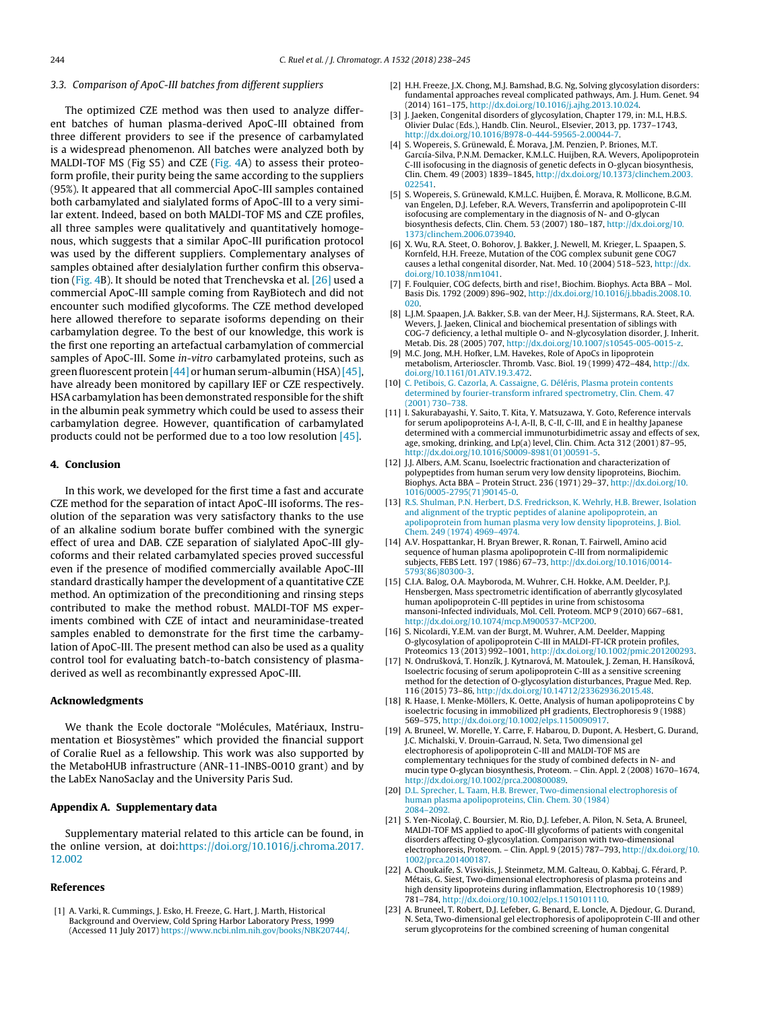## <span id="page-6-0"></span>3.3. Comparison of ApoC-III batches from different suppliers

The optimized CZE method was then used to analyze different batches of human plasma-derived ApoC-III obtained from three different providers to see if the presence of carbamylated is a widespread phenomenon. All batches were analyzed both by MALDI-TOF MS (Fig S5) and CZE ([Fig.](#page-5-0) 4A) to assess their proteoform profile, their purity being the same according to the suppliers (95%). It appeared that all commercial ApoC-III samples contained both carbamylated and sialylated forms of ApoC-III to a very similar extent. Indeed, based on both MALDI-TOF MS and CZE profiles, all three samples were qualitatively and quantitatively homogenous, which suggests that a similar ApoC-III purification protocol was used by the different suppliers. Complementary analyses of samples obtained after desialylation further confirm this observation [\(Fig.](#page-5-0) 4B). It should be noted that Trenchevska et al. [\[26\]](#page-7-0) used a commercial ApoC-III sample coming from RayBiotech and did not encounter such modified glycoforms. The CZE method developed here allowed therefore to separate isoforms depending on their carbamylation degree. To the best of our knowledge, this work is the first one reporting an artefactual carbamylation of commercial samples of ApoC-III. Some in-vitro carbamylated proteins, such as green fluorescent protein [\[44\]](#page-7-0) or human serum-albumin (HSA) [\[45\],](#page-7-0) have already been monitored by capillary IEF or CZE respectively. HSA carbamylation has been demonstrated responsible for the shift in the albumin peak symmetry which could be used to assess their carbamylation degree. However, quantification of carbamylated products could not be performed due to a too low resolution [\[45\].](#page-7-0)

## **4. Conclusion**

In this work, we developed for the first time a fast and accurate CZE method for the separation of intact ApoC-III isoforms. The resolution of the separation was very satisfactory thanks to the use of an alkaline sodium borate buffer combined with the synergic effect of urea and DAB. CZE separation of sialylated ApoC-III glycoforms and their related carbamylated species proved successful even if the presence of modified commercially available ApoC-III standard drastically hamper the development of a quantitative CZE method. An optimization of the preconditioning and rinsing steps contributed to make the method robust. MALDI-TOF MS experiments combined with CZE of intact and neuraminidase-treated samples enabled to demonstrate for the first time the carbamylation of ApoC-III. The present method can also be used as a quality control tool for evaluating batch-to-batch consistency of plasmaderived as well as recombinantly expressed ApoC-III.

#### **Acknowledgments**

We thank the Ecole doctorale "Molécules, Matériaux, Instrumentation et Biosystèmes" which provided the financial support of Coralie Ruel as a fellowship. This work was also supported by the MetaboHUB infrastructure (ANR-11-INBS-0010 grant) and by the LabEx NanoSaclay and the University Paris Sud.

# **Appendix A. Supplementary data**

Supplementary material related to this article can be found, in the online version, at doi[:https://doi.org/10.1016/j.chroma.2017.](https://doi.org/10.1016/j.chroma.2017.12.002) [12.002](https://doi.org/10.1016/j.chroma.2017.12.002)

# **References**

[1] A. Varki, R. Cummings, J. Esko, H. Freeze, G. Hart, J. Marth, Historical Background and Overview, Cold Spring Harbor Laboratory Press, 1999 (Accessed 11 July 2017) <https://www.ncbi.nlm.nih.gov/books/NBK20744/>.

- [2] H.H. Freeze, J.X. Chong, M.J. Bamshad, B.G. Ng, Solving glycosylation disorders: fundamental approaches reveal complicated pathways, Am. J. Hum. Genet. 94 (2014) 161–175, [http://dx.doi.org/10.1016/j.ajhg.2013.10.024.](dx.doi.org/10.1016/j.ajhg.2013.10.024)
- [3] J. Jaeken, Congenital disorders of glycosylation, Chapter 179, in: M.L, H.B.S. Olivier Dulac (Eds.), Handb. Clin. Neurol., Elsevier, 2013, pp. 1737–1743, [http://dx.doi.org/10.1016/B978-0-444-59565-2.00044-7](dx.doi.org/10.1016/B978-0-444-59565-2.00044-7).
- [4] S. Wopereis, S. Grünewald, É. Morava, J.M. Penzien, P. Briones, M.T. Garcıía-Silva, P.N.M. Demacker, K.M.L.C. Huijben, R.A. Wevers, Apolipoprotein C-III isofocusing in the diagnosis of genetic defects in O-glycan biosynthesis, Clin. Chem. 49 (2003) 1839–1845, [http://dx.doi.org/10.1373/clinchem.2003.](dx.doi.org/10.1373/clinchem.2003.022541) [022541.](dx.doi.org/10.1373/clinchem.2003.022541)
- [5] S. Wopereis, S. Grünewald, K.M.L.C. Huijben, É. Morava, R. Mollicone, B.G.M. van Engelen, D.J. Lefeber, R.A. Wevers, Transferrin and apolipoprotein C-III isofocusing are complementary in the diagnosis of N- and O-glycan biosynthesis defects, Clin. Chem. 53 (2007) 180–187, [http://dx.doi.org/10.](dx.doi.org/10.1373/clinchem.2006.073940) [1373/clinchem.2006.073940.](dx.doi.org/10.1373/clinchem.2006.073940)
- [6] X. Wu, R.A. Steet, O. Bohorov, J. Bakker, J. Newell, M. Krieger, L. Spaapen, S. Kornfeld, H.H. Freeze, Mutation of the COG complex subunit gene COG7 causes a lethal congenital disorder, Nat. Med. 10 (2004) 518–523, [http://dx.](dx.doi.org/10.1038/nm1041) [doi.org/10.1038/nm1041.](dx.doi.org/10.1038/nm1041)
- [7] F. Foulquier, COG defects, birth and rise!, Biochim. Biophys. Acta BBA Mol. Basis Dis. 1792 (2009) 896–902, [http://dx.doi.org/10.1016/j.bbadis.2008.10.](dx.doi.org/10.1016/j.bbadis.2008.10.020) [020.](dx.doi.org/10.1016/j.bbadis.2008.10.020)
- [8] L.J.M. Spaapen, J.A. Bakker, S.B. van der Meer, H.J. Sijstermans, R.A. Steet, R.A. Wevers, J. Jaeken, Clinical and biochemical presentation of siblings with COG-7 deficiency, a lethal multiple O- and N-glycosylation disorder, J. Inherit. Metab. Dis. 28 (2005) 707, [http://dx.doi.org/10.1007/s10545-005-0015-z](dx.doi.org/10.1007/s10545-005-0015-z).
- [9] M.C. Jong, M.H. Hofker, L.M. Havekes, Role of ApoCs in lipoprotein metabolism, Arterioscler. Thromb. Vasc. Biol. 19 (1999) 472–484, [http://dx.](dx.doi.org/10.1161/01.ATV.19.3.472) [doi.org/10.1161/01.ATV.19.3.472](dx.doi.org/10.1161/01.ATV.19.3.472).
- [10] [C.](http://refhub.elsevier.com/S0021-9673(17)31762-4/sbref0050) [Petibois,](http://refhub.elsevier.com/S0021-9673(17)31762-4/sbref0050) [G.](http://refhub.elsevier.com/S0021-9673(17)31762-4/sbref0050) [Cazorla,](http://refhub.elsevier.com/S0021-9673(17)31762-4/sbref0050) [A.](http://refhub.elsevier.com/S0021-9673(17)31762-4/sbref0050) [Cassaigne,](http://refhub.elsevier.com/S0021-9673(17)31762-4/sbref0050) [G.](http://refhub.elsevier.com/S0021-9673(17)31762-4/sbref0050) [Déléris,](http://refhub.elsevier.com/S0021-9673(17)31762-4/sbref0050) [Plasma](http://refhub.elsevier.com/S0021-9673(17)31762-4/sbref0050) [protein](http://refhub.elsevier.com/S0021-9673(17)31762-4/sbref0050) [contents](http://refhub.elsevier.com/S0021-9673(17)31762-4/sbref0050) [determined](http://refhub.elsevier.com/S0021-9673(17)31762-4/sbref0050) [by](http://refhub.elsevier.com/S0021-9673(17)31762-4/sbref0050) [fourier-transform](http://refhub.elsevier.com/S0021-9673(17)31762-4/sbref0050) [infrared](http://refhub.elsevier.com/S0021-9673(17)31762-4/sbref0050) [spectrometry,](http://refhub.elsevier.com/S0021-9673(17)31762-4/sbref0050) [Clin.](http://refhub.elsevier.com/S0021-9673(17)31762-4/sbref0050) [Chem.](http://refhub.elsevier.com/S0021-9673(17)31762-4/sbref0050) [47](http://refhub.elsevier.com/S0021-9673(17)31762-4/sbref0050) [\(2001\)](http://refhub.elsevier.com/S0021-9673(17)31762-4/sbref0050) [730–738.](http://refhub.elsevier.com/S0021-9673(17)31762-4/sbref0050)
- [11] I. Sakurabayashi, Y. Saito, T. Kita, Y. Matsuzawa, Y. Goto, Reference intervals for serum apolipoproteins A-I, A-II, B, C-II, C-III, and E in healthy Japanese determined with a commercial immunoturbidimetric assay and effects of sex, age, smoking, drinking, and Lp(a) level, Clin. Chim. Acta 312 (2001) 87–95, [http://dx.doi.org/10.1016/S0009-8981\(01\)00591-5](dx.doi.org/10.1016/S0009-8981(01)00591-5).
- [12] J.J. Albers, A.M. Scanu, Isoelectric fractionation and characterization of polypeptides from human serum very low density lipoproteins, Biochim. Biophys. Acta BBA – Protein Struct. 236 (1971) 29–37, [http://dx.doi.org/10.](dx.doi.org/10.1016/0005-2795(71)90145-0) [1016/0005-2795\(71\)90145-0.](dx.doi.org/10.1016/0005-2795(71)90145-0)
- [13] [R.S.](http://refhub.elsevier.com/S0021-9673(17)31762-4/sbref0065) [Shulman,](http://refhub.elsevier.com/S0021-9673(17)31762-4/sbref0065) [P.N.](http://refhub.elsevier.com/S0021-9673(17)31762-4/sbref0065) [Herbert,](http://refhub.elsevier.com/S0021-9673(17)31762-4/sbref0065) [D.S.](http://refhub.elsevier.com/S0021-9673(17)31762-4/sbref0065) [Fredrickson,](http://refhub.elsevier.com/S0021-9673(17)31762-4/sbref0065) [K.](http://refhub.elsevier.com/S0021-9673(17)31762-4/sbref0065) [Wehrly,](http://refhub.elsevier.com/S0021-9673(17)31762-4/sbref0065) [H.B.](http://refhub.elsevier.com/S0021-9673(17)31762-4/sbref0065) [Brewer,](http://refhub.elsevier.com/S0021-9673(17)31762-4/sbref0065) [Isolation](http://refhub.elsevier.com/S0021-9673(17)31762-4/sbref0065) [and](http://refhub.elsevier.com/S0021-9673(17)31762-4/sbref0065) [alignment](http://refhub.elsevier.com/S0021-9673(17)31762-4/sbref0065) [of](http://refhub.elsevier.com/S0021-9673(17)31762-4/sbref0065) [the](http://refhub.elsevier.com/S0021-9673(17)31762-4/sbref0065) [tryptic](http://refhub.elsevier.com/S0021-9673(17)31762-4/sbref0065) [peptides](http://refhub.elsevier.com/S0021-9673(17)31762-4/sbref0065) [of](http://refhub.elsevier.com/S0021-9673(17)31762-4/sbref0065) [alanine](http://refhub.elsevier.com/S0021-9673(17)31762-4/sbref0065) [apolipoprotein,](http://refhub.elsevier.com/S0021-9673(17)31762-4/sbref0065) [an](http://refhub.elsevier.com/S0021-9673(17)31762-4/sbref0065) [apolipoprotein](http://refhub.elsevier.com/S0021-9673(17)31762-4/sbref0065) [from](http://refhub.elsevier.com/S0021-9673(17)31762-4/sbref0065) [human](http://refhub.elsevier.com/S0021-9673(17)31762-4/sbref0065) [plasma](http://refhub.elsevier.com/S0021-9673(17)31762-4/sbref0065) [very](http://refhub.elsevier.com/S0021-9673(17)31762-4/sbref0065) [low](http://refhub.elsevier.com/S0021-9673(17)31762-4/sbref0065) [density](http://refhub.elsevier.com/S0021-9673(17)31762-4/sbref0065) [lipoproteins,](http://refhub.elsevier.com/S0021-9673(17)31762-4/sbref0065) [J.](http://refhub.elsevier.com/S0021-9673(17)31762-4/sbref0065) [Biol.](http://refhub.elsevier.com/S0021-9673(17)31762-4/sbref0065) [Chem.](http://refhub.elsevier.com/S0021-9673(17)31762-4/sbref0065) [249](http://refhub.elsevier.com/S0021-9673(17)31762-4/sbref0065) [\(1974\)](http://refhub.elsevier.com/S0021-9673(17)31762-4/sbref0065) [4969–4974.](http://refhub.elsevier.com/S0021-9673(17)31762-4/sbref0065)
- [14] A.V. Hospattankar, H. Bryan Brewer, R. Ronan, T. Fairwell, Amino acid sequence of human plasma apolipoprotein C-III from normalipidemic subjects, FEBS Lett. 197 (1986) 67–73, [http://dx.doi.org/10.1016/0014-](dx.doi.org/10.1016/0014-5793(86)80300-3) [5793\(86\)80300-3](dx.doi.org/10.1016/0014-5793(86)80300-3).
- [15] C.I.A. Balog, O.A. Mayboroda, M. Wuhrer, C.H. Hokke, A.M. Deelder, P.J. Hensbergen, Mass spectrometric identification of aberrantly glycosylated human apolipoprotein C-III peptides in urine from schistosoma mansoni-Infected individuals, Mol. Cell. Proteom. MCP 9 (2010) 667–681, [http://dx.doi.org/10.1074/mcp.M900537-MCP200](dx.doi.org/10.1074/mcp.M900537-MCP200).
- [16] S. Nicolardi, Y.E.M. van der Burgt, M. Wuhrer, A.M. Deelder, Mapping O-glycosylation of apolipoprotein C-III in MALDI-FT-ICR protein profiles, Proteomics 13 (2013) 992–1001, [http://dx.doi.org/10.1002/pmic.201200293](dx.doi.org/10.1002/pmic.201200293).
- [17] N. Ondrušková, T. Honzík, J. Kytnarová, M. Matoulek, J. Zeman, H. Hansíková, Isoelectric focusing of serum apolipoprotein C-III as a sensitive screening method for the detection of O-glycosylation disturbances, Prague Med. Rep. 116 (2015) 73–86, [http://dx.doi.org/10.14712/23362936.2015.48](dx.doi.org/10.14712/23362936.2015.48).
- [18] R. Haase, I. Menke-Möllers, K. Oette, Analysis of human apolipoproteins C by isoelectric focusing in immobilized pH gradients, Electrophoresis 9 (1988) 569–575, [http://dx.doi.org/10.1002/elps.1150090917.](dx.doi.org/10.1002/elps.1150090917)
- [19] A. Bruneel, W. Morelle, Y. Carre, F. Habarou, D. Dupont, A. Hesbert, G. Durand, J.C. Michalski, V. Drouin-Garraud, N. Seta, Two dimensional gel electrophoresis of apolipoprotein C-III and MALDI-TOF MS are complementary techniques for the study of combined defects in N- and mucin type O-glycan biosynthesis, Proteom. – Clin. Appl. 2 (2008) 1670–1674, [http://dx.doi.org/10.1002/prca.200800089](dx.doi.org/10.1002/prca.200800089).
- [20] [D.L.](http://refhub.elsevier.com/S0021-9673(17)31762-4/sbref0100) [Sprecher,](http://refhub.elsevier.com/S0021-9673(17)31762-4/sbref0100) [L.](http://refhub.elsevier.com/S0021-9673(17)31762-4/sbref0100) [Taam,](http://refhub.elsevier.com/S0021-9673(17)31762-4/sbref0100) [H.B.](http://refhub.elsevier.com/S0021-9673(17)31762-4/sbref0100) [Brewer,](http://refhub.elsevier.com/S0021-9673(17)31762-4/sbref0100) [Two-dimensional](http://refhub.elsevier.com/S0021-9673(17)31762-4/sbref0100) [electrophoresis](http://refhub.elsevier.com/S0021-9673(17)31762-4/sbref0100) [of](http://refhub.elsevier.com/S0021-9673(17)31762-4/sbref0100) [human](http://refhub.elsevier.com/S0021-9673(17)31762-4/sbref0100) [plasma](http://refhub.elsevier.com/S0021-9673(17)31762-4/sbref0100) [apolipoproteins,](http://refhub.elsevier.com/S0021-9673(17)31762-4/sbref0100) [Clin.](http://refhub.elsevier.com/S0021-9673(17)31762-4/sbref0100) [Chem.](http://refhub.elsevier.com/S0021-9673(17)31762-4/sbref0100) [30](http://refhub.elsevier.com/S0021-9673(17)31762-4/sbref0100) [\(1984\)](http://refhub.elsevier.com/S0021-9673(17)31762-4/sbref0100) [2084–2092.](http://refhub.elsevier.com/S0021-9673(17)31762-4/sbref0100)
- [21] S. Yen-Nicolaÿ, C. Boursier, M. Rio, D.J. Lefeber, A. Pilon, N. Seta, A. Bruneel, MALDI-TOF MS applied to apoC-III glycoforms of patients with congenital disorders affecting O-glycosylation. Comparison with two-dimensional electrophoresis, Proteom. – Clin. Appl. 9 (2015) 787–793, [http://dx.doi.org/10.](dx.doi.org/10.1002/prca.201400187) [1002/prca.201400187.](dx.doi.org/10.1002/prca.201400187)
- [22] A. Choukaife, S. Visvikis, J. Steinmetz, M.M. Galteau, O. Kabbaj, G. Férard, P. Métais, G. Siest, Two-dimensional electrophoresis of plasma proteins and high density lipoproteins during inflammation, Electrophoresis 10 (1989) 781–784, [http://dx.doi.org/10.1002/elps.1150101110.](dx.doi.org/10.1002/elps.1150101110)
- [23] A. Bruneel, T. Robert, D.J. Lefeber, G. Benard, E. Loncle, A. Djedour, G. Durand, N. Seta, Two-dimensional gel electrophoresis of apolipoprotein C-III and other serum glycoproteins for the combined screening of human congenital